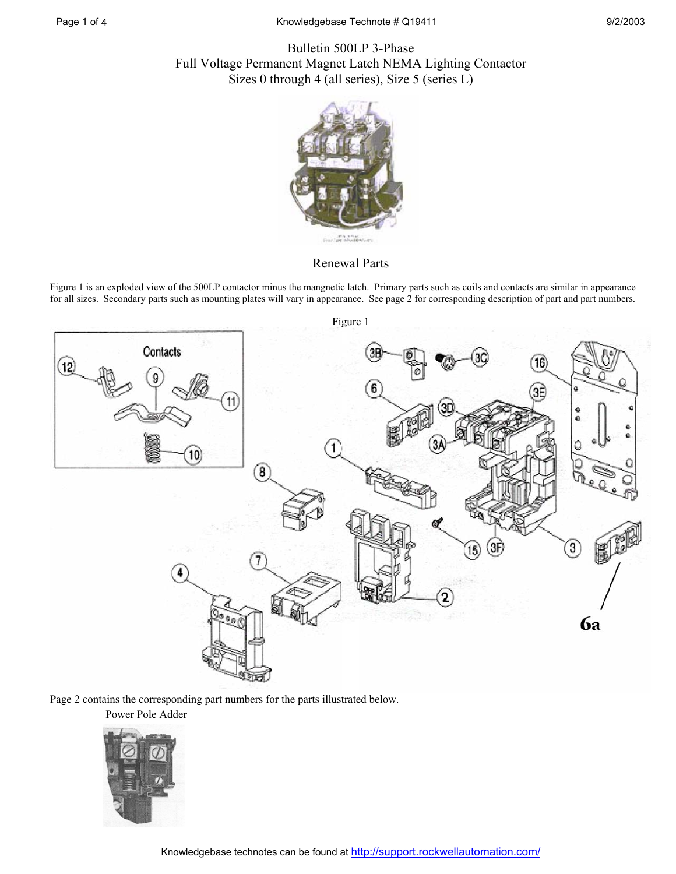## Bulletin 500LP 3-Phase Full Voltage Permanent Magnet Latch NEMA Lighting Contactor Sizes 0 through 4 (all series), Size 5 (series L)



# Renewal Parts

Figure 1 is an exploded view of the 500LP contactor minus the mangnetic latch. Primary parts such as coils and contacts are similar in appearance for all sizes. Secondary parts such as mounting plates will vary in appearance. See page 2 for corresponding description of part and part numbers.



Page 2 contains the corresponding part numbers for the parts illustrated below.

Power Pole Adder

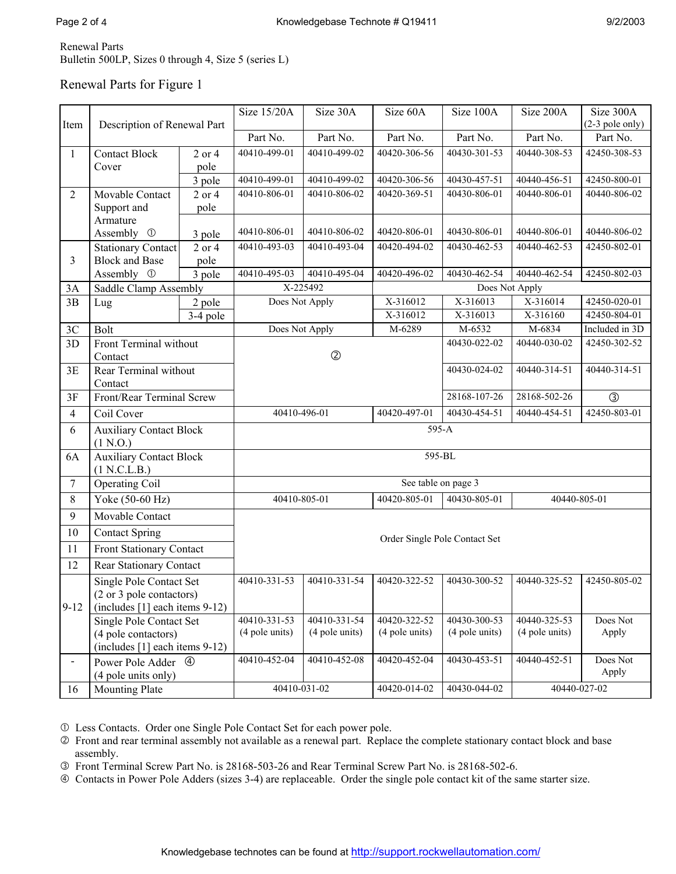#### Renewal Parts Bulletin 500LP, Sizes 0 through 4, Size 5 (series L)

## Renewal Parts for Figure 1

| Item           | Description of Renewal Part                                                             |            | Size 15/20A                                                  | Size 30A       | Size 60A       | Size 100A      | Size 200A      | Size 300A<br>$(2-3$ pole only) |  |  |
|----------------|-----------------------------------------------------------------------------------------|------------|--------------------------------------------------------------|----------------|----------------|----------------|----------------|--------------------------------|--|--|
|                |                                                                                         |            | Part No.                                                     | Part No.       | Part No.       | Part No.       | Part No.       | Part No.                       |  |  |
| $\mathbf{1}$   | <b>Contact Block</b>                                                                    | $2$ or $4$ | 40410-499-01                                                 | 40410-499-02   | 40420-306-56   | 40430-301-53   | 40440-308-53   | 42450-308-53                   |  |  |
|                | Cover                                                                                   | pole       |                                                              |                |                |                |                |                                |  |  |
|                |                                                                                         | 3 pole     | 40410-499-01                                                 | 40410-499-02   | 40420-306-56   | 40430-457-51   | 40440-456-51   | 42450-800-01                   |  |  |
| $\overline{2}$ | Movable Contact                                                                         | 2 or 4     | 40410-806-01                                                 | 40410-806-02   | 40420-369-51   | 40430-806-01   | 40440-806-01   | 40440-806-02                   |  |  |
|                | Support and                                                                             | pole       |                                                              |                |                |                |                |                                |  |  |
|                | Armature                                                                                |            |                                                              |                |                |                |                |                                |  |  |
|                | Assembly <sup>1</sup>                                                                   | 3 pole     | 40410-806-01                                                 | 40410-806-02   | 40420-806-01   | 40430-806-01   | 40440-806-01   | 40440-806-02                   |  |  |
|                | <b>Stationary Contact</b>                                                               | $2$ or $4$ | 40410-493-03                                                 | 40410-493-04   | 40420-494-02   | 40430-462-53   | 40440-462-53   | 42450-802-01                   |  |  |
| 3              | <b>Block and Base</b>                                                                   | pole       | 40410-495-03                                                 | 40410-495-04   | 40420-496-02   | 40430-462-54   | 40440-462-54   | 42450-802-03                   |  |  |
|                | Assembly <sup>1</sup>                                                                   | 3 pole     |                                                              |                |                | Does Not Apply |                |                                |  |  |
| 3A<br>3B       | Saddle Clamp Assembly                                                                   | 2 pole     | X-225492<br>Does Not Apply                                   |                | X-316012       | X-316013       | X-316014       | 42450-020-01                   |  |  |
|                | Lug                                                                                     | 3-4 pole   |                                                              |                | X-316012       | X-316013       | X-316160       | 42450-804-01                   |  |  |
| 3C             | Bolt                                                                                    |            | Does Not Apply                                               |                | M-6289         | M-6532         | M-6834         | Included in 3D                 |  |  |
| 3D             |                                                                                         |            |                                                              |                |                | 40430-022-02   | 40440-030-02   | 42450-302-52                   |  |  |
|                | Front Terminal without<br>Contact                                                       |            | $\circled{2}$                                                |                |                |                |                |                                |  |  |
| 3E             | <b>Rear Terminal without</b>                                                            |            |                                                              |                |                | 40430-024-02   | 40440-314-51   | 40440-314-51                   |  |  |
|                | Contact                                                                                 |            |                                                              |                |                |                |                |                                |  |  |
| 3F             | Front/Rear Terminal Screw                                                               |            | 28168-107-26<br>28168-502-26<br>$\circled{3}$                |                |                |                |                |                                |  |  |
| $\overline{4}$ | Coil Cover                                                                              |            | 40410-496-01                                                 |                | 40420-497-01   | 40430-454-51   | 40440-454-51   | 42450-803-01                   |  |  |
| 6              | <b>Auxiliary Contact Block</b><br>(1 N.0.)                                              |            | 595-A                                                        |                |                |                |                |                                |  |  |
| 6A             | <b>Auxiliary Contact Block</b><br>(1 N.C.L.B.)                                          |            | 595-BL                                                       |                |                |                |                |                                |  |  |
| $\tau$         | <b>Operating Coil</b>                                                                   |            | See table on page 3                                          |                |                |                |                |                                |  |  |
| $8\,$          | Yoke (50-60 Hz)                                                                         |            | 40410-805-01<br>40420-805-01<br>40430-805-01<br>40440-805-01 |                |                |                |                |                                |  |  |
| 9              | Movable Contact                                                                         |            |                                                              |                |                |                |                |                                |  |  |
| 10             | <b>Contact Spring</b>                                                                   |            | Order Single Pole Contact Set                                |                |                |                |                |                                |  |  |
| 11             | Front Stationary Contact                                                                |            |                                                              |                |                |                |                |                                |  |  |
| 12             | <b>Rear Stationary Contact</b>                                                          |            |                                                              |                |                |                |                |                                |  |  |
| $9 - 12$       | Single Pole Contact Set<br>(2 or 3 pole contactors)<br>$(includes [1] each items 9-12)$ |            | 40410-331-53                                                 | 40410-331-54   | 40420-322-52   | 40430-300-52   | 40440-325-52   | 42450-805-02                   |  |  |
|                | Single Pole Contact Set                                                                 |            | 40410-331-53                                                 | 40410-331-54   | 40420-322-52   | 40430-300-53   | 40440-325-53   | Does Not                       |  |  |
|                | (4 pole contactors)                                                                     |            | (4 pole units)                                               | (4 pole units) | (4 pole units) | (4 pole units) | (4 pole units) | Apply                          |  |  |
|                | (includes [1] each items 9-12)                                                          |            |                                                              |                |                |                |                |                                |  |  |
| $\blacksquare$ | Power Pole Adder 4                                                                      |            | 40410-452-04                                                 | 40410-452-08   | 40420-452-04   | 40430-453-51   | 40440-452-51   | Does Not<br>Apply              |  |  |
|                | (4 pole units only)                                                                     |            |                                                              |                |                |                |                |                                |  |  |
| 16             | <b>Mounting Plate</b>                                                                   |            | 40410-031-02                                                 |                | 40420-014-02   | 40430-044-02   | 40440-027-02   |                                |  |  |

 $O$  Less Contacts. Order one Single Pole Contact Set for each power pole.

- d Front and rear terminal assembly not available as a renewal part. Replace the complete stationary contact block and base assembly.
- e Front Terminal Screw Part No. is 28168-503-26 and Rear Terminal Screw Part No. is 28168-502-6.
- f Contacts in Power Pole Adders (sizes 3-4) are replaceable. Order the single pole contact kit of the same starter size.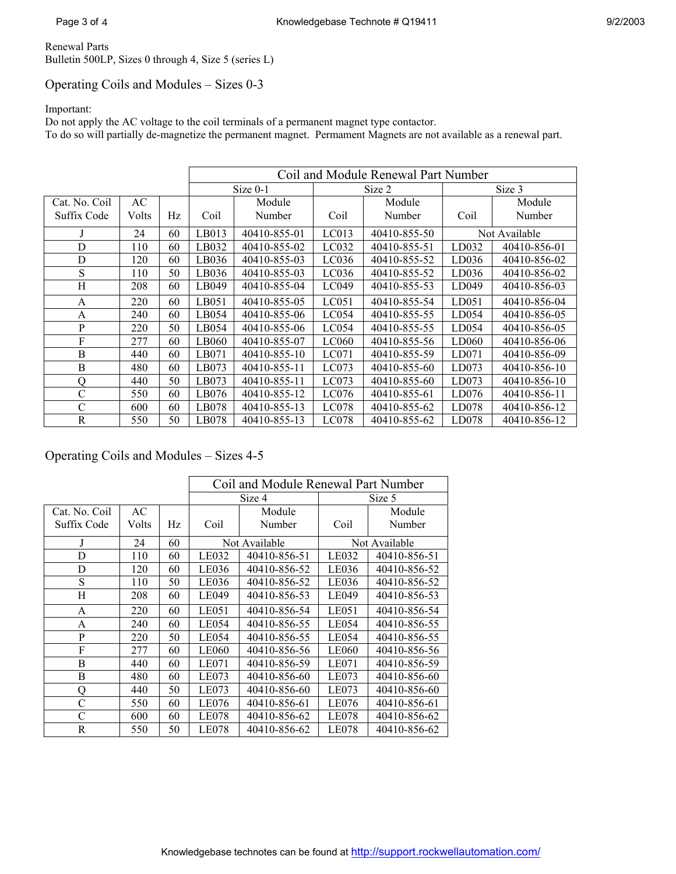Renewal Parts Bulletin 500LP, Sizes 0 through 4, Size 5 (series L)

### Operating Coils and Modules – Sizes 0-3

Important:

Do not apply the AC voltage to the coil terminals of a permanent magnet type contactor.

To do so will partially de-magnetize the permanent magnet. Permament Magnets are not available as a renewal part.

|                |       |    | Coil and Module Renewal Part Number |              |        |              |               |              |  |
|----------------|-------|----|-------------------------------------|--------------|--------|--------------|---------------|--------------|--|
|                |       |    | Size $0-1$                          |              | Size 2 |              | Size 3        |              |  |
| Cat. No. Coil  | AC    |    |                                     | Module       |        | Module       |               | Module       |  |
| Suffix Code    | Volts | Hz | Coil                                | Number       | Coil   | Number       | Coil          | Number       |  |
|                | 24    | 60 | LB013                               | 40410-855-01 | LC013  | 40410-855-50 | Not Available |              |  |
| D              | 110   | 60 | LB032                               | 40410-855-02 | LC032  | 40410-855-51 | LD032         | 40410-856-01 |  |
| D              | 120   | 60 | LB036                               | 40410-855-03 | LC036  | 40410-855-52 | LD036         | 40410-856-02 |  |
| S              | 110   | 50 | LB036                               | 40410-855-03 | LC036  | 40410-855-52 | LD036         | 40410-856-02 |  |
| H              | 208   | 60 | LB049                               | 40410-855-04 | LC049  | 40410-855-53 | LD049         | 40410-856-03 |  |
| A              | 220   | 60 | LB051                               | 40410-855-05 | LC051  | 40410-855-54 | LD051         | 40410-856-04 |  |
| A              | 240   | 60 | LB054                               | 40410-855-06 | LC054  | 40410-855-55 | LD054         | 40410-856-05 |  |
| ${\bf P}$      | 220   | 50 | LB054                               | 40410-855-06 | LC054  | 40410-855-55 | LD054         | 40410-856-05 |  |
| F              | 277   | 60 | LB060                               | 40410-855-07 | LC060  | 40410-855-56 | LD060         | 40410-856-06 |  |
| B              | 440   | 60 | LB071                               | 40410-855-10 | LC071  | 40410-855-59 | LD071         | 40410-856-09 |  |
| $\overline{B}$ | 480   | 60 | LB073                               | 40410-855-11 | LC073  | 40410-855-60 | LD073         | 40410-856-10 |  |
| Q              | 440   | 50 | LB073                               | 40410-855-11 | LC073  | 40410-855-60 | LD073         | 40410-856-10 |  |
| $\overline{C}$ | 550   | 60 | LB076                               | 40410-855-12 | LC076  | 40410-855-61 | LD076         | 40410-856-11 |  |
| $\overline{C}$ | 600   | 60 | LB078                               | 40410-855-13 | LC078  | 40410-855-62 | LD078         | 40410-856-12 |  |
| $\mathbf R$    | 550   | 50 | LB078                               | 40410-855-13 | LC078  | 40410-855-62 | LD078         | 40410-856-12 |  |

Operating Coils and Modules – Sizes 4-5

|               |       |    | Coil and Module Renewal Part Number |              |               |              |  |  |
|---------------|-------|----|-------------------------------------|--------------|---------------|--------------|--|--|
|               |       |    |                                     | Size 4       | Size 5        |              |  |  |
| Cat. No. Coil | AC    |    |                                     | Module       |               | Module       |  |  |
| Suffix Code   | Volts | Hz | Coil                                | Number       | Coil          | Number       |  |  |
| J             | 24    | 60 | Not Available                       |              | Not Available |              |  |  |
| D             | 110   | 60 | LE032                               | 40410-856-51 | LE032         | 40410-856-51 |  |  |
| D             | 120   | 60 | LE036                               | 40410-856-52 | LE036         | 40410-856-52 |  |  |
| S             | 110   | 50 | LE036                               | 40410-856-52 | LE036         | 40410-856-52 |  |  |
| H             | 208   | 60 | LE049                               | 40410-856-53 | LE049         | 40410-856-53 |  |  |
| A             | 220   | 60 | LE051                               | 40410-856-54 | LE051         | 40410-856-54 |  |  |
| A             | 240   | 60 | LE054                               | 40410-856-55 | LE054         | 40410-856-55 |  |  |
| P             | 220   | 50 | LE054                               | 40410-856-55 | LE054         | 40410-856-55 |  |  |
| F             | 277   | 60 | <b>LE060</b>                        | 40410-856-56 | LE060         | 40410-856-56 |  |  |
| B             | 440   | 60 | LE071                               | 40410-856-59 | LE071         | 40410-856-59 |  |  |
| B             | 480   | 60 | LEO73                               | 40410-856-60 | LE073         | 40410-856-60 |  |  |
| Q             | 440   | 50 | LEO73                               | 40410-856-60 | LE073         | 40410-856-60 |  |  |
|               | 550   | 60 | LE076                               | 40410-856-61 | LE076         | 40410-856-61 |  |  |
| C             | 600   | 60 | <b>LE078</b>                        | 40410-856-62 | LE078         | 40410-856-62 |  |  |
| R             | 550   | 50 | LE <sub>078</sub>                   | 40410-856-62 | LE078         | 40410-856-62 |  |  |